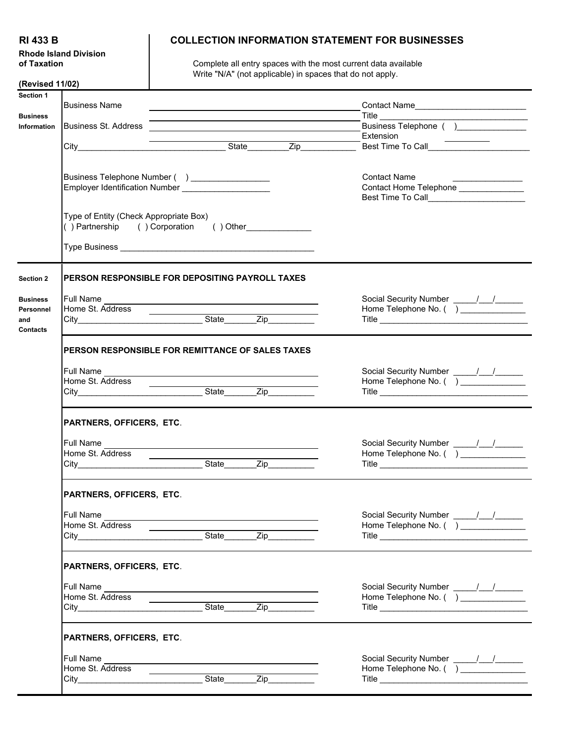**Rhode Island Division**

## **RI 433 B COLLECTION INFORMATION STATEMENT FOR BUSINESSES**

**of Taxation Complete all entry spaces with the most current data available of Taxation** Write "N/A" (not applicable) in spaces that do not apply.

| (Revised 11/02)                                        |                                                         |                                                                                                                                                                                                                                                                                                                              |                                                              |  |  |  |  |
|--------------------------------------------------------|---------------------------------------------------------|------------------------------------------------------------------------------------------------------------------------------------------------------------------------------------------------------------------------------------------------------------------------------------------------------------------------------|--------------------------------------------------------------|--|--|--|--|
| Section 1<br><b>Business</b>                           | <b>Business Name</b>                                    |                                                                                                                                                                                                                                                                                                                              | Contact Name                                                 |  |  |  |  |
| Information                                            | <b>Business St. Address</b>                             |                                                                                                                                                                                                                                                                                                                              | Business Telephone ( )                                       |  |  |  |  |
|                                                        |                                                         | Business Telephone Number ( ) _________________                                                                                                                                                                                                                                                                              | <b>Contact Name</b><br>Contact Home Telephone ______________ |  |  |  |  |
|                                                        | Type of Entity (Check Appropriate Box)                  | () Partnership () Corporation () Other                                                                                                                                                                                                                                                                                       |                                                              |  |  |  |  |
|                                                        |                                                         |                                                                                                                                                                                                                                                                                                                              |                                                              |  |  |  |  |
| <b>Section 2</b>                                       |                                                         | PERSON RESPONSIBLE FOR DEPOSITING PAYROLL TAXES                                                                                                                                                                                                                                                                              |                                                              |  |  |  |  |
| <b>Business</b><br>Personnel<br>and<br><b>Contacts</b> | Full Name                                               | Home St. Address<br>City_________________________________State_________Zip__________________________                                                                                                                                                                                                                         | Home Telephone No. ( ) ______________                        |  |  |  |  |
|                                                        | <b>PERSON RESPONSIBLE FOR REMITTANCE OF SALES TAXES</b> |                                                                                                                                                                                                                                                                                                                              |                                                              |  |  |  |  |
|                                                        | Home St. Address                                        | Full Name <b>contract the contract of the contract of the contract of the contract of the contract of the contract of the contract of the contract of the contract of the contract of the contract of the contract of the contra</b><br>Home St. Address<br>City_________________________________State________Zip___________ |                                                              |  |  |  |  |
|                                                        | PARTNERS, OFFICERS, ETC.                                |                                                                                                                                                                                                                                                                                                                              |                                                              |  |  |  |  |
|                                                        | Full Name<br>Home St. Address ___________               |                                                                                                                                                                                                                                                                                                                              |                                                              |  |  |  |  |
|                                                        | PARTNERS, OFFICERS, ETC.                                |                                                                                                                                                                                                                                                                                                                              |                                                              |  |  |  |  |
|                                                        | <b>Full Name</b><br>Home St. Address                    |                                                                                                                                                                                                                                                                                                                              |                                                              |  |  |  |  |
|                                                        | PARTNERS, OFFICERS, ETC.                                |                                                                                                                                                                                                                                                                                                                              |                                                              |  |  |  |  |
|                                                        | Full Name<br>Home St. Address                           | $\frac{1}{2}$<br>State Zip                                                                                                                                                                                                                                                                                                   | Home Telephone No. ( ) ______________                        |  |  |  |  |
|                                                        | PARTNERS, OFFICERS, ETC.                                |                                                                                                                                                                                                                                                                                                                              |                                                              |  |  |  |  |
|                                                        | <b>Full Name</b><br>Home St. Address                    | State Zip                                                                                                                                                                                                                                                                                                                    |                                                              |  |  |  |  |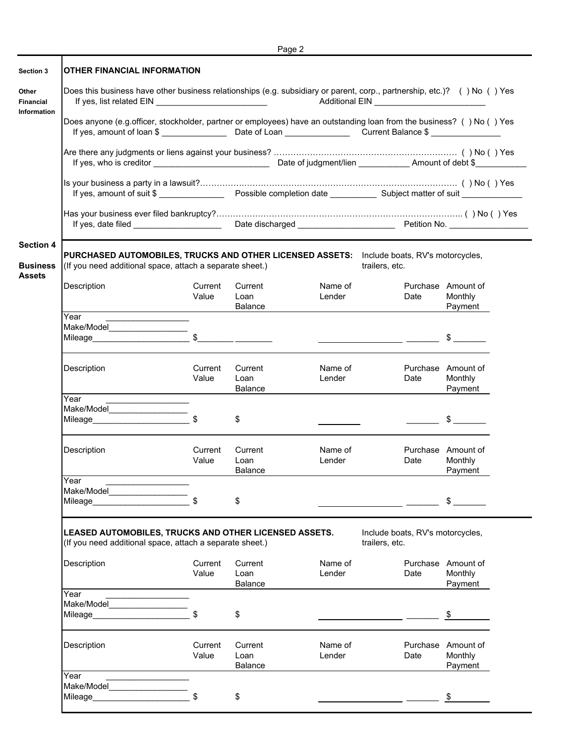|                                                      |                                                                                                                                                                         |                  |                                                                                                                       | Page 2            |                                                                                                                                                                                                                                                                                                                                                                                                                                 |                                          |  |  |  |
|------------------------------------------------------|-------------------------------------------------------------------------------------------------------------------------------------------------------------------------|------------------|-----------------------------------------------------------------------------------------------------------------------|-------------------|---------------------------------------------------------------------------------------------------------------------------------------------------------------------------------------------------------------------------------------------------------------------------------------------------------------------------------------------------------------------------------------------------------------------------------|------------------------------------------|--|--|--|
| Section 3                                            | OTHER FINANCIAL INFORMATION                                                                                                                                             |                  |                                                                                                                       |                   |                                                                                                                                                                                                                                                                                                                                                                                                                                 |                                          |  |  |  |
| <b>Financial</b>                                     | Does this business have other business relationships (e.g. subsidiary or parent, corp., partnership, etc.)? () No () Yes                                                |                  |                                                                                                                       |                   |                                                                                                                                                                                                                                                                                                                                                                                                                                 |                                          |  |  |  |
| <b>Information</b>                                   |                                                                                                                                                                         |                  | Does anyone (e.g.officer, stockholder, partner or employees) have an outstanding loan from the business? () No () Yes |                   |                                                                                                                                                                                                                                                                                                                                                                                                                                 |                                          |  |  |  |
|                                                      |                                                                                                                                                                         |                  |                                                                                                                       |                   |                                                                                                                                                                                                                                                                                                                                                                                                                                 |                                          |  |  |  |
|                                                      | ls your business a party in a lawsuit?…………………………………………………………………………………()No()Yes<br>If yes, amount of suit \$                                                             |                  |                                                                                                                       |                   |                                                                                                                                                                                                                                                                                                                                                                                                                                 |                                          |  |  |  |
|                                                      |                                                                                                                                                                         |                  |                                                                                                                       |                   |                                                                                                                                                                                                                                                                                                                                                                                                                                 |                                          |  |  |  |
| <b>Section 4</b><br><b>Business</b><br><b>Assets</b> | PURCHASED AUTOMOBILES, TRUCKS AND OTHER LICENSED ASSETS: Include boats, RV's motorcycles,<br>(If you need additional space, attach a separate sheet.)<br>trailers, etc. |                  |                                                                                                                       |                   |                                                                                                                                                                                                                                                                                                                                                                                                                                 |                                          |  |  |  |
|                                                      | Description                                                                                                                                                             | Current<br>Value | Current<br>Loan<br><b>Balance</b>                                                                                     | Name of<br>Lender | Date                                                                                                                                                                                                                                                                                                                                                                                                                            | Purchase Amount of<br>Monthly<br>Payment |  |  |  |
|                                                      | Year                                                                                                                                                                    |                  |                                                                                                                       |                   |                                                                                                                                                                                                                                                                                                                                                                                                                                 |                                          |  |  |  |
|                                                      | Make/Model                                                                                                                                                              | $\sqrt{2}$       |                                                                                                                       |                   |                                                                                                                                                                                                                                                                                                                                                                                                                                 |                                          |  |  |  |
|                                                      | Description                                                                                                                                                             | Current<br>Value | Current<br>Loan<br><b>Balance</b>                                                                                     | Name of<br>Lender | Date                                                                                                                                                                                                                                                                                                                                                                                                                            | Purchase Amount of<br>Monthly<br>Payment |  |  |  |
|                                                      | Year                                                                                                                                                                    |                  |                                                                                                                       |                   |                                                                                                                                                                                                                                                                                                                                                                                                                                 |                                          |  |  |  |
|                                                      | Make/Model_________________                                                                                                                                             | $\mathfrak{L}$   | \$                                                                                                                    |                   | $\mathcal{L}^{\text{max}}$ and $\mathcal{L}^{\text{max}}$                                                                                                                                                                                                                                                                                                                                                                       | $\frac{1}{2}$                            |  |  |  |
|                                                      | Description                                                                                                                                                             | Current<br>Value | Current<br>Loan<br>Balance                                                                                            | Name of<br>Lender | Date                                                                                                                                                                                                                                                                                                                                                                                                                            | Purchase Amount of<br>Monthly<br>Payment |  |  |  |
|                                                      | Year                                                                                                                                                                    |                  |                                                                                                                       |                   |                                                                                                                                                                                                                                                                                                                                                                                                                                 |                                          |  |  |  |
|                                                      | Make/Model<br>Mileage <b>Exercise Structure</b>                                                                                                                         |                  | \$                                                                                                                    |                   |                                                                                                                                                                                                                                                                                                                                                                                                                                 | \$                                       |  |  |  |
|                                                      | LEASED AUTOMOBILES, TRUCKS AND OTHER LICENSED ASSETS.<br>Include boats, RV's motorcycles,<br>(If you need additional space, attach a separate sheet.)<br>trailers, etc. |                  |                                                                                                                       |                   |                                                                                                                                                                                                                                                                                                                                                                                                                                 |                                          |  |  |  |
|                                                      | Description                                                                                                                                                             | Current<br>Value | Current<br>Loan<br>Balance                                                                                            | Name of<br>Lender | Date                                                                                                                                                                                                                                                                                                                                                                                                                            | Purchase Amount of<br>Monthly<br>Payment |  |  |  |
|                                                      | Year                                                                                                                                                                    |                  |                                                                                                                       |                   |                                                                                                                                                                                                                                                                                                                                                                                                                                 |                                          |  |  |  |
|                                                      | Make/Model                                                                                                                                                              |                  | \$                                                                                                                    |                   | $\frac{1}{\sqrt{2}}$ $\frac{1}{\sqrt{2}}$ $\frac{1}{\sqrt{2}}$ $\frac{1}{\sqrt{2}}$ $\frac{1}{\sqrt{2}}$ $\frac{1}{\sqrt{2}}$ $\frac{1}{\sqrt{2}}$ $\frac{1}{\sqrt{2}}$ $\frac{1}{\sqrt{2}}$ $\frac{1}{\sqrt{2}}$ $\frac{1}{\sqrt{2}}$ $\frac{1}{\sqrt{2}}$ $\frac{1}{\sqrt{2}}$ $\frac{1}{\sqrt{2}}$ $\frac{1}{\sqrt{2}}$ $\frac{1}{\sqrt{2}}$ $\frac{1}{\sqrt{2}}$                                                            |                                          |  |  |  |
|                                                      | Description                                                                                                                                                             | Current<br>Value | Current<br>Loan<br><b>Balance</b>                                                                                     | Name of<br>Lender | Date                                                                                                                                                                                                                                                                                                                                                                                                                            | Purchase Amount of<br>Monthly<br>Payment |  |  |  |
|                                                      | Year                                                                                                                                                                    |                  |                                                                                                                       |                   |                                                                                                                                                                                                                                                                                                                                                                                                                                 |                                          |  |  |  |
|                                                      | Make/Model                                                                                                                                                              |                  | \$                                                                                                                    |                   | $\frac{1}{\sqrt{1-\frac{1}{2}}}\frac{1}{\sqrt{1-\frac{1}{2}}}\frac{1}{\sqrt{1-\frac{1}{2}}}\frac{1}{\sqrt{1-\frac{1}{2}}}\frac{1}{\sqrt{1-\frac{1}{2}}}\frac{1}{\sqrt{1-\frac{1}{2}}}\frac{1}{\sqrt{1-\frac{1}{2}}}\frac{1}{\sqrt{1-\frac{1}{2}}}\frac{1}{\sqrt{1-\frac{1}{2}}}\frac{1}{\sqrt{1-\frac{1}{2}}}\frac{1}{\sqrt{1-\frac{1}{2}}}\frac{1}{\sqrt{1-\frac{1}{2}}}\frac{1}{\sqrt{1-\frac{1}{2}}}\frac{1}{\sqrt{1-\frac{$ |                                          |  |  |  |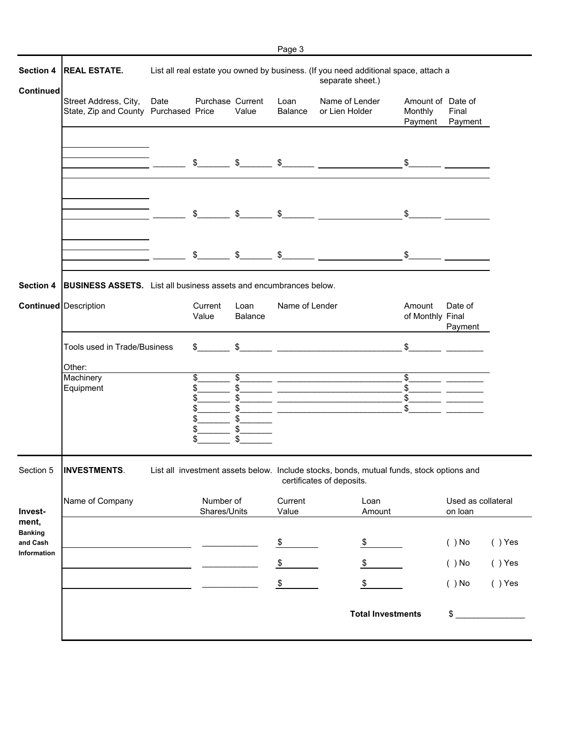| Section 4                                 | <b>REAL ESTATE.</b>                                                      |      |                                        |                            |                  | List all real estate you owned by business. (If you need additional space, attach a<br>separate sheet.)                                                                                                                                                                                                             |                                         |                               |                        |
|-------------------------------------------|--------------------------------------------------------------------------|------|----------------------------------------|----------------------------|------------------|---------------------------------------------------------------------------------------------------------------------------------------------------------------------------------------------------------------------------------------------------------------------------------------------------------------------|-----------------------------------------|-------------------------------|------------------------|
| Continued                                 | Street Address, City,<br>State, Zip and County Purchased Price           | Date | Purchase Current                       | Value                      | Loan<br>Balance  | Name of Lender<br>or Lien Holder                                                                                                                                                                                                                                                                                    | Amount of Date of<br>Monthly<br>Payment | Final<br>Payment              |                        |
|                                           |                                                                          |      |                                        |                            |                  | $\frac{1}{2}$ $\frac{1}{2}$ $\frac{1}{2}$ $\frac{1}{2}$ $\frac{1}{2}$ $\frac{1}{2}$ $\frac{1}{2}$ $\frac{1}{2}$ $\frac{1}{2}$ $\frac{1}{2}$ $\frac{1}{2}$ $\frac{1}{2}$ $\frac{1}{2}$ $\frac{1}{2}$ $\frac{1}{2}$ $\frac{1}{2}$ $\frac{1}{2}$ $\frac{1}{2}$ $\frac{1}{2}$ $\frac{1}{2}$ $\frac{1}{2}$ $\frac{1}{2}$ | $\frac{1}{2}$                           |                               |                        |
|                                           |                                                                          |      | $\frac{1}{2}$                          | $\mathfrak s$              | $\frac{1}{2}$    |                                                                                                                                                                                                                                                                                                                     | $\sim$                                  |                               |                        |
|                                           |                                                                          |      | \$                                     |                            |                  | $\frac{1}{2}$ $\frac{1}{2}$ $\frac{1}{2}$ $\frac{1}{2}$ $\frac{1}{2}$ $\frac{1}{2}$ $\frac{1}{2}$ $\frac{1}{2}$ $\frac{1}{2}$ $\frac{1}{2}$ $\frac{1}{2}$ $\frac{1}{2}$ $\frac{1}{2}$ $\frac{1}{2}$ $\frac{1}{2}$ $\frac{1}{2}$ $\frac{1}{2}$ $\frac{1}{2}$ $\frac{1}{2}$ $\frac{1}{2}$ $\frac{1}{2}$ $\frac{1}{2}$ | $\frac{1}{2}$                           |                               |                        |
| Section 4                                 | <b>BUSINESS ASSETS.</b> List all business assets and encumbrances below. |      |                                        |                            |                  |                                                                                                                                                                                                                                                                                                                     |                                         |                               |                        |
|                                           | <b>Continued</b> Description                                             |      | Current<br>Value                       | Loan<br>Balance            | Name of Lender   |                                                                                                                                                                                                                                                                                                                     | Amount<br>of Monthly Final              | Date of<br>Payment            |                        |
|                                           | Tools used in Trade/Business<br>Other:                                   |      | $\frac{1}{2}$                          | $\mathsf{\$}$              |                  |                                                                                                                                                                                                                                                                                                                     | \$                                      |                               |                        |
|                                           | Machinery<br>Equipment                                                   |      | \$<br>\$<br>\$<br>\$<br>\$<br>\$<br>\$ | \$<br>\$<br>\$<br>\$<br>\$ |                  |                                                                                                                                                                                                                                                                                                                     | \$<br>\$<br>\$<br>\$                    |                               |                        |
| Section 5                                 | <b>INVESTMENTS</b>                                                       |      |                                        |                            |                  | List all investment assets below. Include stocks, bonds, mutual funds, stock options and<br>certificates of deposits.                                                                                                                                                                                               |                                         |                               |                        |
| Invest-<br>ment,                          | Name of Company                                                          |      | Number of<br>Shares/Units              |                            | Current<br>Value | Loan<br>Amount                                                                                                                                                                                                                                                                                                      |                                         | Used as collateral<br>on loan |                        |
| <b>Banking</b><br>and Cash<br>Information |                                                                          |      |                                        |                            | $\frac{1}{2}$    | \$                                                                                                                                                                                                                                                                                                                  |                                         | $( )$ No                      | $( )$ Yes              |
|                                           |                                                                          |      |                                        |                            | \$<br>\$         | \$<br>\$                                                                                                                                                                                                                                                                                                            |                                         | $( )$ No<br>$( )$ No          | $( )$ Yes<br>$( )$ Yes |
|                                           |                                                                          |      |                                        |                            |                  | <b>Total Investments</b>                                                                                                                                                                                                                                                                                            |                                         | \$                            |                        |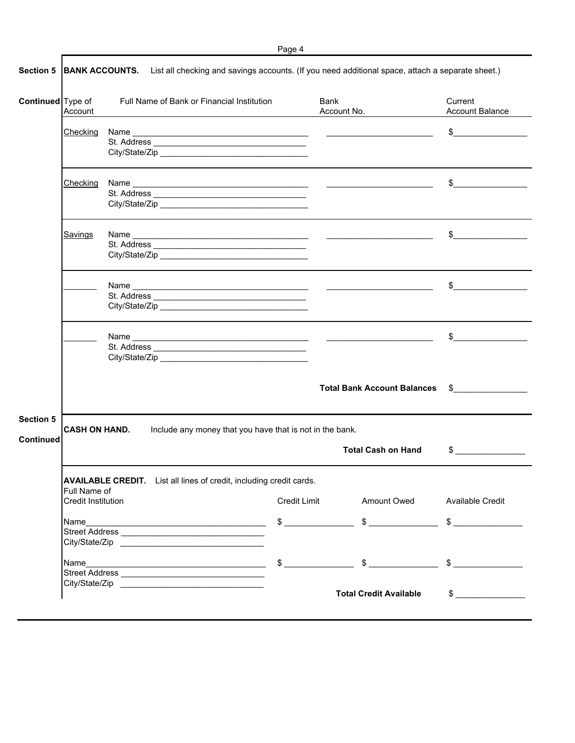|--|--|

| Continued Type of                    | Account                                                                                                | Full Name of Bank or Financial Institution                                 |  | Bank<br>Account No.                       | Current<br><b>Account Balance</b>                                                                                                                                                                                                                                                                                                               |
|--------------------------------------|--------------------------------------------------------------------------------------------------------|----------------------------------------------------------------------------|--|-------------------------------------------|-------------------------------------------------------------------------------------------------------------------------------------------------------------------------------------------------------------------------------------------------------------------------------------------------------------------------------------------------|
|                                      | Checking                                                                                               |                                                                            |  |                                           | $\sim$                                                                                                                                                                                                                                                                                                                                          |
|                                      | Checking                                                                                               |                                                                            |  |                                           | $\mathfrak s$ and $\mathfrak s$ and $\mathfrak s$ and $\mathfrak s$ and $\mathfrak s$ and $\mathfrak s$ and $\mathfrak s$ and $\mathfrak s$ and $\mathfrak s$ and $\mathfrak s$ and $\mathfrak s$ and $\mathfrak s$ and $\mathfrak s$ and $\mathfrak s$ and $\mathfrak s$ and $\mathfrak s$ and $\mathfrak s$ and $\mathfrak s$ and $\mathfrak$ |
|                                      | Savings                                                                                                |                                                                            |  |                                           | \$                                                                                                                                                                                                                                                                                                                                              |
|                                      |                                                                                                        |                                                                            |  |                                           | $\sim$                                                                                                                                                                                                                                                                                                                                          |
|                                      |                                                                                                        | City/State/Zip                                                             |  |                                           | $\frac{1}{2}$                                                                                                                                                                                                                                                                                                                                   |
|                                      |                                                                                                        |                                                                            |  | <b>Total Bank Account Balances</b>        | $\mathbb{S}$ and $\mathbb{S}$ and $\mathbb{S}$ and $\mathbb{S}$ and $\mathbb{S}$ and $\mathbb{S}$ and $\mathbb{S}$ and $\mathbb{S}$ and $\mathbb{S}$ and $\mathbb{S}$ and $\mathbb{S}$ and $\mathbb{S}$ and $\mathbb{S}$ and $\mathbb{S}$ and $\mathbb{S}$ and $\mathbb{S}$ and $\mathbb{S}$ and                                                |
| <b>Section 5</b><br><b>Continued</b> | CASH ON HAND.<br>Include any money that you have that is not in the bank.<br><b>Total Cash on Hand</b> |                                                                            |  |                                           | $\sim$                                                                                                                                                                                                                                                                                                                                          |
|                                      |                                                                                                        |                                                                            |  |                                           |                                                                                                                                                                                                                                                                                                                                                 |
|                                      | Full Name of<br>Credit Institution                                                                     | <b>AVAILABLE CREDIT.</b> List all lines of credit, including credit cards. |  | Credit Limit Amount Owed Available Credit |                                                                                                                                                                                                                                                                                                                                                 |
|                                      |                                                                                                        |                                                                            |  |                                           |                                                                                                                                                                                                                                                                                                                                                 |
|                                      |                                                                                                        |                                                                            |  |                                           |                                                                                                                                                                                                                                                                                                                                                 |
|                                      |                                                                                                        |                                                                            |  |                                           |                                                                                                                                                                                                                                                                                                                                                 |